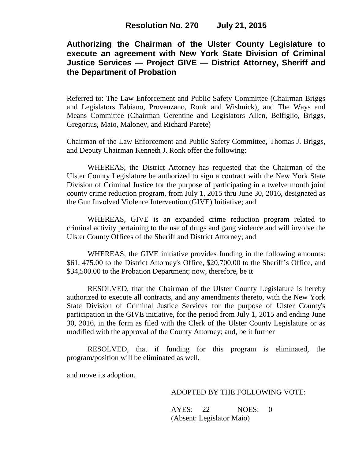# **Authorizing the Chairman of the Ulster County Legislature to execute an agreement with New York State Division of Criminal Justice Services — Project GIVE — District Attorney, Sheriff and the Department of Probation**

Referred to: The Law Enforcement and Public Safety Committee (Chairman Briggs and Legislators Fabiano, Provenzano, Ronk and Wishnick), and The Ways and Means Committee (Chairman Gerentine and Legislators Allen, Belfiglio, Briggs, Gregorius, Maio, Maloney, and Richard Parete)

Chairman of the Law Enforcement and Public Safety Committee, Thomas J. Briggs, and Deputy Chairman Kenneth J. Ronk offer the following:

WHEREAS, the District Attorney has requested that the Chairman of the Ulster County Legislature be authorized to sign a contract with the New York State Division of Criminal Justice for the purpose of participating in a twelve month joint county crime reduction program, from July 1, 2015 thru June 30, 2016, designated as the Gun Involved Violence Intervention (GIVE) Initiative; and

WHEREAS, GIVE is an expanded crime reduction program related to criminal activity pertaining to the use of drugs and gang violence and will involve the Ulster County Offices of the Sheriff and District Attorney; and

WHEREAS, the GIVE initiative provides funding in the following amounts: \$61, 475.00 to the District Attorney's Office, \$20,700.00 to the Sheriff's Office, and \$34,500.00 to the Probation Department; now, therefore, be it

RESOLVED, that the Chairman of the Ulster County Legislature is hereby authorized to execute all contracts, and any amendments thereto, with the New York State Division of Criminal Justice Services for the purpose of Ulster County's participation in the GIVE initiative, for the period from July 1, 2015 and ending June 30, 2016, in the form as filed with the Clerk of the Ulster County Legislature or as modified with the approval of the County Attorney; and, be it further

RESOLVED, that if funding for this program is eliminated, the program/position will be eliminated as well,

and move its adoption.

## ADOPTED BY THE FOLLOWING VOTE:

AYES: 22 NOES: 0 (Absent: Legislator Maio)